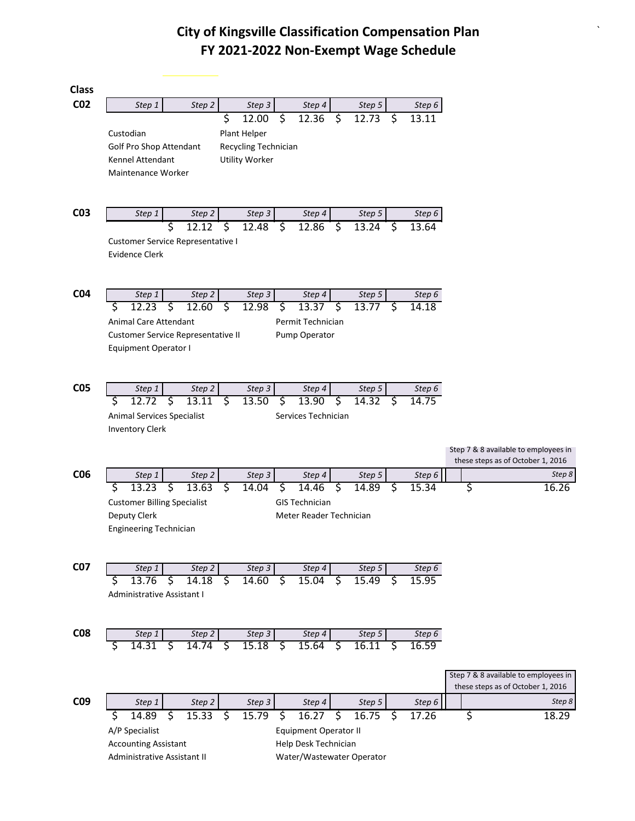`

| <b>Class</b>    |                                    |                      |                       |    |                              |    |                 |     |                   |                                      |
|-----------------|------------------------------------|----------------------|-----------------------|----|------------------------------|----|-----------------|-----|-------------------|--------------------------------------|
| CO <sub>2</sub> | Step 1                             | Step <sub>2</sub>    | Step <sub>3</sub>     |    | Step 4                       |    | Step 5          |     | Step <sub>6</sub> |                                      |
|                 |                                    |                      | \$<br>12.00           | \$ | 12.36                        | \$ | 12.73           | \$  | 13.11             |                                      |
|                 | Custodian                          |                      | Plant Helper          |    |                              |    |                 |     |                   |                                      |
|                 | Golf Pro Shop Attendant            |                      | Recycling Technician  |    |                              |    |                 |     |                   |                                      |
|                 | Kennel Attendant                   |                      | <b>Utility Worker</b> |    |                              |    |                 |     |                   |                                      |
|                 | Maintenance Worker                 |                      |                       |    |                              |    |                 |     |                   |                                      |
|                 |                                    |                      |                       |    |                              |    |                 |     |                   |                                      |
|                 |                                    |                      |                       |    |                              |    |                 |     |                   |                                      |
| CO <sub>3</sub> | Step 1                             | Step <sub>2</sub>    | Step 3                |    | Step 4                       |    | Step 5          |     | Step 6            |                                      |
|                 |                                    | \$<br>12.12          | \$<br>12.48           | \$ | 12.86                        | 5  | 13.24           | \$  | 13.64             |                                      |
|                 | Customer Service Representative I  |                      |                       |    |                              |    |                 |     |                   |                                      |
|                 | Evidence Clerk                     |                      |                       |    |                              |    |                 |     |                   |                                      |
|                 |                                    |                      |                       |    |                              |    |                 |     |                   |                                      |
|                 |                                    |                      |                       |    |                              |    |                 |     |                   |                                      |
| CO <sub>4</sub> | Step 1<br>12.23                    | Step 2<br>12.60<br>Ś | Step 3<br>ॱऽ<br>12.98 |    | Step 4<br>13.37              | ॱऽ | Step 5<br>13.77 | 5   | Step 6<br>14.18   |                                      |
|                 | Ś                                  |                      |                       | \$ |                              |    |                 |     |                   |                                      |
|                 | Animal Care Attendant              |                      |                       |    | Permit Technician            |    |                 |     |                   |                                      |
|                 | Customer Service Representative II |                      |                       |    | Pump Operator                |    |                 |     |                   |                                      |
|                 | Equipment Operator I               |                      |                       |    |                              |    |                 |     |                   |                                      |
|                 |                                    |                      |                       |    |                              |    |                 |     |                   |                                      |
| C <sub>05</sub> |                                    | Step <sub>2</sub>    | Step 3                |    |                              |    |                 |     |                   |                                      |
|                 | Step 1<br>12.72                    | 13.11<br>Ś           | 13.50<br>S            | S  | Step 4<br>13.90              | S  | Step 5<br>14.32 |     | Step 6<br>14.75   |                                      |
|                 | Animal Services Specialist         |                      |                       |    | Services Technician          |    |                 |     |                   |                                      |
|                 | <b>Inventory Clerk</b>             |                      |                       |    |                              |    |                 |     |                   |                                      |
|                 |                                    |                      |                       |    |                              |    |                 |     |                   |                                      |
|                 |                                    |                      |                       |    |                              |    |                 |     |                   | Step 7 & 8 available to employees in |
|                 |                                    |                      |                       |    |                              |    |                 |     |                   | these steps as of October 1, 2016    |
| CO <sub>6</sub> | Step 1                             | Step <sub>2</sub>    | Step <sub>3</sub>     |    | Step 4                       |    | Step 5          |     | Step 6            | Step 8                               |
|                 | 13.23<br>Ś                         | \$<br>13.63          | S<br>14.04            | \$ | 14.46                        | \$ | 14.89           | S   | 15.34             | \$<br>16.26                          |
|                 | <b>Customer Billing Specialist</b> |                      |                       |    | <b>GIS Technician</b>        |    |                 |     |                   |                                      |
|                 | Deputy Clerk                       |                      |                       |    | Meter Reader Technician      |    |                 |     |                   |                                      |
|                 | <b>Engineering Technician</b>      |                      |                       |    |                              |    |                 |     |                   |                                      |
|                 |                                    |                      |                       |    |                              |    |                 |     |                   |                                      |
| <b>C07</b>      | Step 1                             | Step 2               |                       |    | Step 4                       |    | Step 5          |     | Step 6            |                                      |
|                 | 13.76<br>S                         | \$<br>14.18          | Step 3<br>Ś<br>14.60  | \$ | 15.04                        | ें | 15.49           | \$. | 15.95             |                                      |
|                 | <b>Administrative Assistant I</b>  |                      |                       |    |                              |    |                 |     |                   |                                      |
|                 |                                    |                      |                       |    |                              |    |                 |     |                   |                                      |
|                 |                                    |                      |                       |    |                              |    |                 |     |                   |                                      |
| <b>C08</b>      | Step 1                             | Step 2               | Step 3                |    | Step 4                       |    | Step 5          |     | Step 6            |                                      |
|                 | 14.31                              | 14.74<br>S           | 15.18<br>S            | S  | 15.64                        | \$ | 16.11           | S   | 16.59             |                                      |
|                 |                                    |                      |                       |    |                              |    |                 |     |                   |                                      |
|                 |                                    |                      |                       |    |                              |    |                 |     |                   | Step 7 & 8 available to employees in |
|                 |                                    |                      |                       |    |                              |    |                 |     |                   | these steps as of October 1, 2016    |
| C <sub>09</sub> | Step 1                             | Step 2               | Step 3                |    | Step 4                       |    | Step 5          |     | Step 6            | Step 8                               |
|                 | Ś<br>14.89                         | \$<br>15.33          | Ŝ.<br>15.79           | \$ | 16.27                        | \$ | 16.75           | \$  | 17.26             | \$<br>18.29                          |
|                 | A/P Specialist                     |                      |                       |    | <b>Equipment Operator II</b> |    |                 |     |                   |                                      |
|                 | <b>Accounting Assistant</b>        |                      |                       |    | Help Desk Technician         |    |                 |     |                   |                                      |
|                 | Administrative Assistant II        |                      |                       |    | Water/Wastewater Operator    |    |                 |     |                   |                                      |
|                 |                                    |                      |                       |    |                              |    |                 |     |                   |                                      |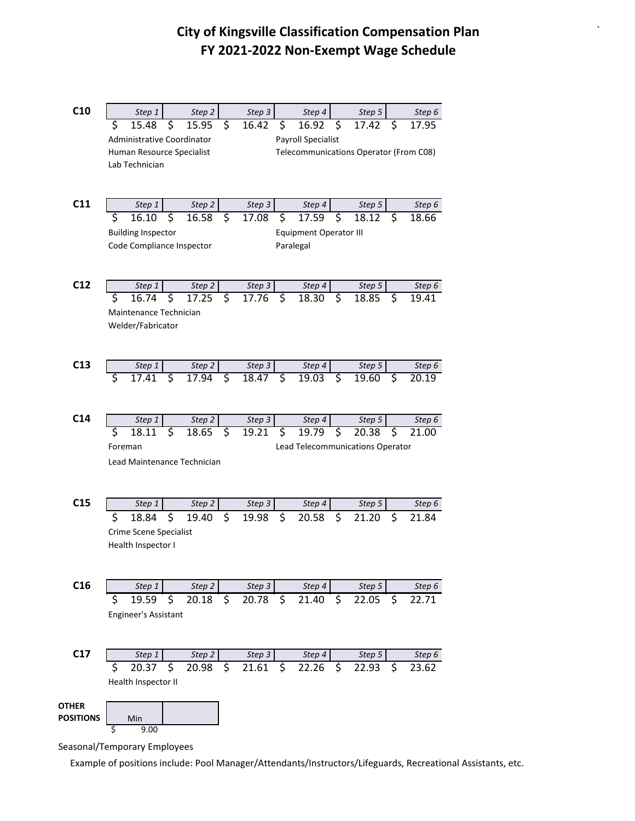`

| C10              | Step 1                            | Step 2                      |                         | Step 3                                 |          | Step 4                 |    | Step 5                           |    | Step 6             |  |
|------------------|-----------------------------------|-----------------------------|-------------------------|----------------------------------------|----------|------------------------|----|----------------------------------|----|--------------------|--|
|                  | \$<br>15.48                       | \$<br>15.95                 | \$                      | 16.42                                  | \$       | 16.92                  | \$ | 17.42                            | \$ | 17.95              |  |
|                  | <b>Administrative Coordinator</b> |                             |                         |                                        |          | Payroll Specialist     |    |                                  |    |                    |  |
|                  | Human Resource Specialist         |                             |                         | Telecommunications Operator (From C08) |          |                        |    |                                  |    |                    |  |
|                  | Lab Technician                    |                             |                         |                                        |          |                        |    |                                  |    |                    |  |
|                  |                                   |                             |                         |                                        |          |                        |    |                                  |    |                    |  |
| C11              |                                   |                             |                         |                                        |          |                        |    |                                  |    |                    |  |
|                  | Step 1<br>\$<br>16.10             | Step 2<br>Ś<br>16.58        | $\overline{\mathsf{S}}$ | Step 3<br>17.08                        | \$       | Step 4<br>17.59        | Ś  | Step 5<br>18.12                  | \$ | Step 6<br>18.66    |  |
|                  | <b>Building Inspector</b>         |                             |                         |                                        |          | Equipment Operator III |    |                                  |    |                    |  |
|                  | Code Compliance Inspector         |                             |                         |                                        |          | Paralegal              |    |                                  |    |                    |  |
|                  |                                   |                             |                         |                                        |          |                        |    |                                  |    |                    |  |
|                  |                                   |                             |                         |                                        |          |                        |    |                                  |    |                    |  |
| C12              | Step 1                            | Step 2                      |                         | Step 3                                 |          | Step 4                 |    | Step 5                           |    | Step 6             |  |
|                  | \$<br>16.74                       | \$<br>17.25                 | \$                      | 17.76                                  | \$       | 18.30                  | \$ | 18.85                            | \$ | 19.41              |  |
|                  | Maintenance Technician            |                             |                         |                                        |          |                        |    |                                  |    |                    |  |
|                  | Welder/Fabricator                 |                             |                         |                                        |          |                        |    |                                  |    |                    |  |
|                  |                                   |                             |                         |                                        |          |                        |    |                                  |    |                    |  |
|                  |                                   |                             |                         |                                        |          |                        |    |                                  |    |                    |  |
| C13              | Step 1                            | Step 2                      |                         | Step 3                                 |          | Step 4                 |    | Step 5                           |    | Step 6             |  |
|                  | Ś<br>17.41                        | Ś<br>17.94                  | \$                      | $\overline{18.47}$                     | <u>र</u> | 19.03                  | ड  | 19.60                            | \$ | 20.19              |  |
|                  |                                   |                             |                         |                                        |          |                        |    |                                  |    |                    |  |
| C <sub>14</sub>  | Step 1                            | Step 2                      |                         | Step 3                                 |          | Step 4                 |    | Step 5                           |    | Step 6             |  |
|                  | \$<br>18.11                       | ट<br>18.65                  | \$                      | 19.21                                  | \$       | 19.79                  | \$ | 20.38                            | \$ | $\overline{2}1.00$ |  |
|                  | Foreman                           |                             |                         |                                        |          |                        |    | Lead Telecommunications Operator |    |                    |  |
|                  |                                   | Lead Maintenance Technician |                         |                                        |          |                        |    |                                  |    |                    |  |
|                  |                                   |                             |                         |                                        |          |                        |    |                                  |    |                    |  |
|                  |                                   |                             |                         |                                        |          |                        |    |                                  |    |                    |  |
| C15              | Step 1                            | Step 2                      |                         | Step 3                                 |          | Step 4                 |    | Step 5                           |    | Step 6             |  |
|                  | \$<br>18.84                       | \$<br>19.40                 | \$                      | 19.98                                  | \$       | 20.58                  | \$ | 21.20                            | \$ | 21.84              |  |
|                  | Crime Scene Specialist            |                             |                         |                                        |          |                        |    |                                  |    |                    |  |
|                  | Health Inspector I                |                             |                         |                                        |          |                        |    |                                  |    |                    |  |
|                  |                                   |                             |                         |                                        |          |                        |    |                                  |    |                    |  |
|                  |                                   |                             |                         |                                        |          |                        |    |                                  |    |                    |  |
| C16              | Step 1                            | Step 2                      |                         | Step 3                                 |          | Step 4                 |    | Step 5                           |    | Step 6             |  |
|                  | \$<br>19.59                       | \$<br>20.18                 | \$                      | 20.78                                  | \$       | 21.40                  | \$ | 22.05                            | \$ | 22.71              |  |
|                  | Engineer's Assistant              |                             |                         |                                        |          |                        |    |                                  |    |                    |  |
|                  |                                   |                             |                         |                                        |          |                        |    |                                  |    |                    |  |
|                  |                                   |                             |                         |                                        |          |                        |    |                                  |    |                    |  |
| C17              | Step 1                            | Step 2                      |                         | Step 3                                 |          | Step 4                 |    | Step 5                           |    | Step 6             |  |
|                  | \$<br>20.37                       | \$<br>20.98                 | \$                      | 21.61                                  | \$       | 22.26                  | \$ | 22.93                            | \$ | 23.62              |  |
|                  | Health Inspector II               |                             |                         |                                        |          |                        |    |                                  |    |                    |  |
| <b>OTHER</b>     |                                   |                             |                         |                                        |          |                        |    |                                  |    |                    |  |
| <b>POSITIONS</b> | Min                               |                             |                         |                                        |          |                        |    |                                  |    |                    |  |
|                  | 9.00<br>S                         |                             |                         |                                        |          |                        |    |                                  |    |                    |  |

Seasonal/Temporary Employees

Example of positions include: Pool Manager/Attendants/Instructors/Lifeguards, Recreational Assistants, etc.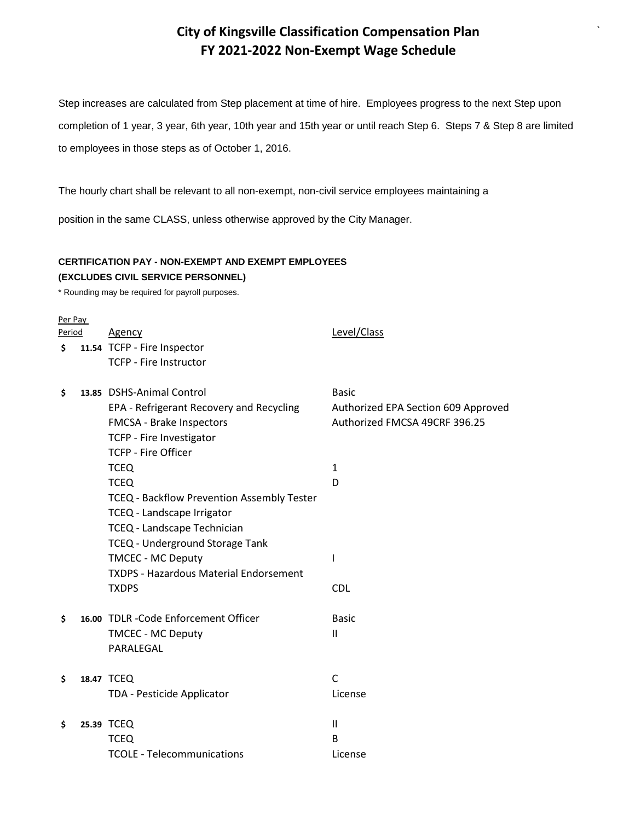`

Step increases are calculated from Step placement at time of hire. Employees progress to the next Step upon completion of 1 year, 3 year, 6th year, 10th year and 15th year or until reach Step 6. Steps 7 & Step 8 are limited to employees in those steps as of October 1, 2016.

The hourly chart shall be relevant to all non-exempt, non-civil service employees maintaining a

position in the same CLASS, unless otherwise approved by the City Manager.

### **CERTIFICATION PAY - NON-EXEMPT AND EXEMPT EMPLOYEES (EXCLUDES CIVIL SERVICE PERSONNEL)**

\* Rounding may be required for payroll purposes.

#### Per Pay

| Period |  | Agency                                     | Level/Class                         |  |  |  |
|--------|--|--------------------------------------------|-------------------------------------|--|--|--|
| Ś.     |  | 11.54 TCFP - Fire Inspector                |                                     |  |  |  |
|        |  | <b>TCFP - Fire Instructor</b>              |                                     |  |  |  |
| \$     |  | 13.85 DSHS-Animal Control                  | <b>Basic</b>                        |  |  |  |
|        |  | EPA - Refrigerant Recovery and Recycling   | Authorized EPA Section 609 Approved |  |  |  |
|        |  | FMCSA - Brake Inspectors                   | Authorized FMCSA 49CRF 396.25       |  |  |  |
|        |  | <b>TCFP - Fire Investigator</b>            |                                     |  |  |  |
|        |  | <b>TCFP - Fire Officer</b>                 |                                     |  |  |  |
|        |  | <b>TCEQ</b>                                | $\mathbf{1}$                        |  |  |  |
|        |  | <b>TCEQ</b>                                | D                                   |  |  |  |
|        |  | TCEQ - Backflow Prevention Assembly Tester |                                     |  |  |  |
|        |  | TCEQ - Landscape Irrigator                 |                                     |  |  |  |
|        |  | TCEQ - Landscape Technician                |                                     |  |  |  |
|        |  | <b>TCEQ - Underground Storage Tank</b>     |                                     |  |  |  |
|        |  | <b>TMCEC - MC Deputy</b>                   |                                     |  |  |  |
|        |  | TXDPS - Hazardous Material Endorsement     |                                     |  |  |  |
|        |  | <b>TXDPS</b>                               | <b>CDL</b>                          |  |  |  |
| Ś.     |  | 16.00 TDLR - Code Enforcement Officer      | <b>Basic</b>                        |  |  |  |
|        |  | <b>TMCEC - MC Deputy</b>                   | Ш                                   |  |  |  |
|        |  | PARALEGAL                                  |                                     |  |  |  |
| \$     |  | 18.47 TCEQ                                 | $\mathsf{C}$                        |  |  |  |
|        |  | TDA - Pesticide Applicator                 | License                             |  |  |  |
| \$     |  | 25.39 TCEQ                                 | $\mathbf{H}$                        |  |  |  |
|        |  | <b>TCEQ</b>                                | B                                   |  |  |  |
|        |  | TCOLE - Telecommunications                 | License                             |  |  |  |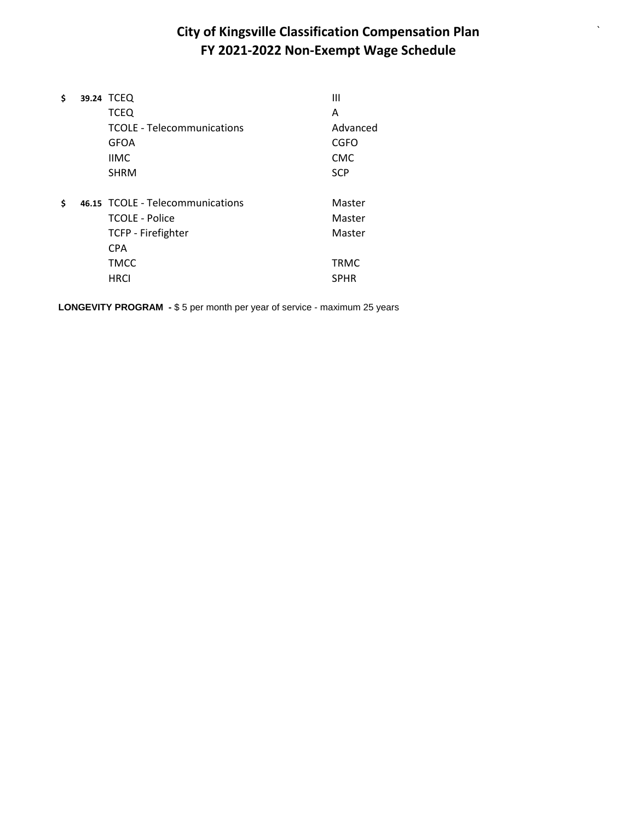`

| \$ | 39.24 TCEQ                        | Ш           |
|----|-----------------------------------|-------------|
|    | <b>TCEQ</b>                       | Α           |
|    | <b>TCOLE - Telecommunications</b> | Advanced    |
|    | <b>GFOA</b>                       | CGFO        |
|    | <b>IIMC</b>                       | <b>CMC</b>  |
|    | <b>SHRM</b>                       | <b>SCP</b>  |
| Ś  | 46.15 TCOLE - Telecommunications  | Master      |
|    | <b>TCOLE - Police</b>             | Master      |
|    |                                   |             |
|    | <b>TCFP - Firefighter</b>         | Master      |
|    | <b>CPA</b>                        |             |
|    | <b>TMCC</b>                       | <b>TRMC</b> |
|    | <b>HRCI</b>                       | <b>SPHR</b> |
|    |                                   |             |

**LONGEVITY PROGRAM -** \$ 5 per month per year of service - maximum 25 years